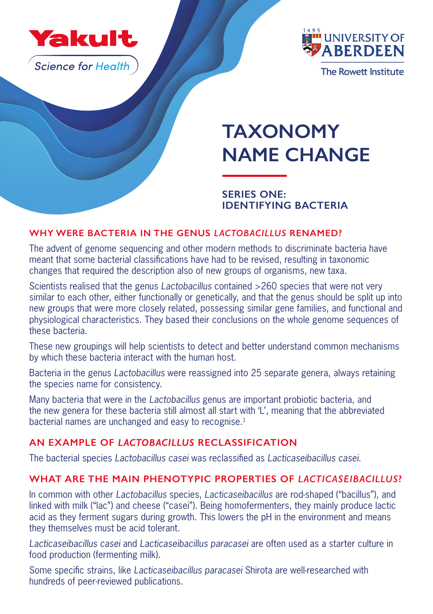

**Science for Health** 



# **TAXONOMY NAME CHANGE**

## **SERIES ONE: IDENTIFYING BACTERIA**

### **WHY WERE BACTERIA IN THE GENUS** *LACTOBACILLUS* **RENAMED?**

The advent of genome sequencing and other modern methods to discriminate bacteria have meant that some bacterial classifications have had to be revised, resulting in taxonomic changes that required the description also of new groups of organisms, new taxa.

Scientists realised that the genus *Lactobacillus* contained >260 species that were not very similar to each other, either functionally or genetically, and that the genus should be split up into new groups that were more closely related, possessing similar gene families, and functional and physiological characteristics. They based their conclusions on the whole genome sequences of these bacteria.

These new groupings will help scientists to detect and better understand common mechanisms by which these bacteria interact with the human host.

Bacteria in the genus *Lactobacillus* were reassigned into 25 separate genera, always retaining the species name for consistency.

Many bacteria that were in the *Lactobacillus* genus are important probiotic bacteria, and the new genera for these bacteria still almost all start with 'L', meaning that the abbreviated bacterial names are unchanged and easy to recognise.<sup>1</sup>

# **AN EXAMPLE OF** *LACTOBACILLUS* **RECLASSIFICATION**

The bacterial species *Lactobacillus casei* was reclassified as *Lacticaseibacillus casei*.

## **WHAT ARE THE MAIN PHENOTYPIC PROPERTIES OF** *LACTICASEIBACILLUS***?**

In common with other *Lactobacillus* species, *Lacticaseibacillus* are rod-shaped ("bacillus"), and linked with milk ("lac") and cheese ("casei"). Being homofermenters, they mainly produce lactic acid as they ferment sugars during growth. This lowers the pH in the environment and means they themselves must be acid tolerant.

*Lacticaseibacillus casei* and *Lacticaseibacillus paracasei* are often used as a starter culture in food production (fermenting milk).

Some specific strains, like *Lacticaseibacillus paracasei* Shirota are well-researched with hundreds of peer-reviewed publications.